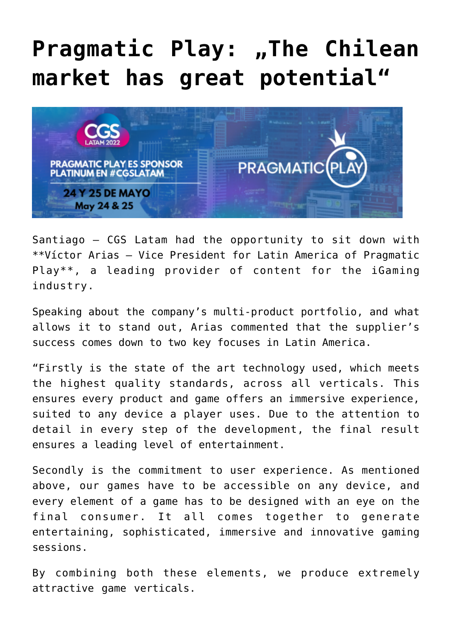## [Pragmatic Play: "The Chilean](https://www.isa-guide.de/english-news/articles/269309.html) **[market has great potential"](https://www.isa-guide.de/english-news/articles/269309.html)**



Santiago – CGS Latam had the opportunity to sit down with \*\*Víctor Arias – Vice President for Latin America of Pragmatic Play\*\*, a leading provider of content for the iGaming industry.

Speaking about the company's multi-product portfolio, and what allows it to stand out, Arias commented that the supplier's success comes down to two key focuses in Latin America.

"Firstly is the state of the art technology used, which meets the highest quality standards, across all verticals. This ensures every product and game offers an immersive experience, suited to any device a player uses. Due to the attention to detail in every step of the development, the final result ensures a leading level of entertainment.

Secondly is the commitment to user experience. As mentioned above, our games have to be accessible on any device, and every element of a game has to be designed with an eye on the final consumer. It all comes together to generate entertaining, sophisticated, immersive and innovative gaming sessions.

By combining both these elements, we produce extremely attractive game verticals.